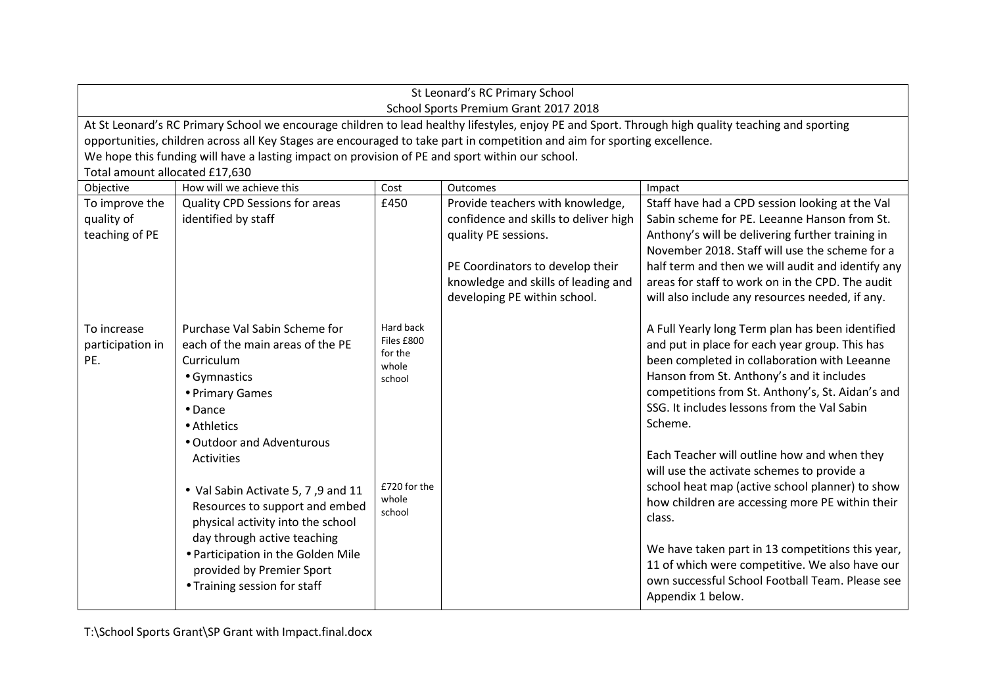|                                                                     | St Leonard's RC Primary School<br>School Sports Premium Grant 2017 2018                                                                                                                                                                                                                                                                                                                                              |                                                                                |                                                                                                                                                                                                              |                                                                                                                                                                                                                                                                                                                                                                                                                                                                                                                  |  |  |  |
|---------------------------------------------------------------------|----------------------------------------------------------------------------------------------------------------------------------------------------------------------------------------------------------------------------------------------------------------------------------------------------------------------------------------------------------------------------------------------------------------------|--------------------------------------------------------------------------------|--------------------------------------------------------------------------------------------------------------------------------------------------------------------------------------------------------------|------------------------------------------------------------------------------------------------------------------------------------------------------------------------------------------------------------------------------------------------------------------------------------------------------------------------------------------------------------------------------------------------------------------------------------------------------------------------------------------------------------------|--|--|--|
|                                                                     | At St Leonard's RC Primary School we encourage children to lead healthy lifestyles, enjoy PE and Sport. Through high quality teaching and sporting<br>opportunities, children across all Key Stages are encouraged to take part in competition and aim for sporting excellence.<br>We hope this funding will have a lasting impact on provision of PE and sport within our school.<br>Total amount allocated £17,630 |                                                                                |                                                                                                                                                                                                              |                                                                                                                                                                                                                                                                                                                                                                                                                                                                                                                  |  |  |  |
| How will we achieve this<br>Objective<br>Cost<br>Outcomes<br>Impact |                                                                                                                                                                                                                                                                                                                                                                                                                      |                                                                                |                                                                                                                                                                                                              |                                                                                                                                                                                                                                                                                                                                                                                                                                                                                                                  |  |  |  |
| To improve the<br>quality of<br>teaching of PE                      | <b>Quality CPD Sessions for areas</b><br>identified by staff                                                                                                                                                                                                                                                                                                                                                         | £450                                                                           | Provide teachers with knowledge,<br>confidence and skills to deliver high<br>quality PE sessions.<br>PE Coordinators to develop their<br>knowledge and skills of leading and<br>developing PE within school. | Staff have had a CPD session looking at the Val<br>Sabin scheme for PE. Leeanne Hanson from St.<br>Anthony's will be delivering further training in<br>November 2018. Staff will use the scheme for a<br>half term and then we will audit and identify any<br>areas for staff to work on in the CPD. The audit<br>will also include any resources needed, if any.                                                                                                                                                |  |  |  |
| To increase<br>participation in<br>PE.                              | Purchase Val Sabin Scheme for<br>each of the main areas of the PE<br>Curriculum<br>• Gymnastics<br>• Primary Games<br>• Dance<br>• Athletics<br>• Outdoor and Adventurous<br><b>Activities</b><br>• Val Sabin Activate 5, 7, 9 and 11<br>Resources to support and embed                                                                                                                                              | Hard back<br>Files £800<br>for the<br>whole<br>school<br>£720 for the<br>whole |                                                                                                                                                                                                              | A Full Yearly long Term plan has been identified<br>and put in place for each year group. This has<br>been completed in collaboration with Leeanne<br>Hanson from St. Anthony's and it includes<br>competitions from St. Anthony's, St. Aidan's and<br>SSG. It includes lessons from the Val Sabin<br>Scheme.<br>Each Teacher will outline how and when they<br>will use the activate schemes to provide a<br>school heat map (active school planner) to show<br>how children are accessing more PE within their |  |  |  |
|                                                                     | physical activity into the school<br>day through active teaching<br>• Participation in the Golden Mile<br>provided by Premier Sport<br>• Training session for staff                                                                                                                                                                                                                                                  | school                                                                         |                                                                                                                                                                                                              | class.<br>We have taken part in 13 competitions this year,<br>11 of which were competitive. We also have our<br>own successful School Football Team. Please see<br>Appendix 1 below.                                                                                                                                                                                                                                                                                                                             |  |  |  |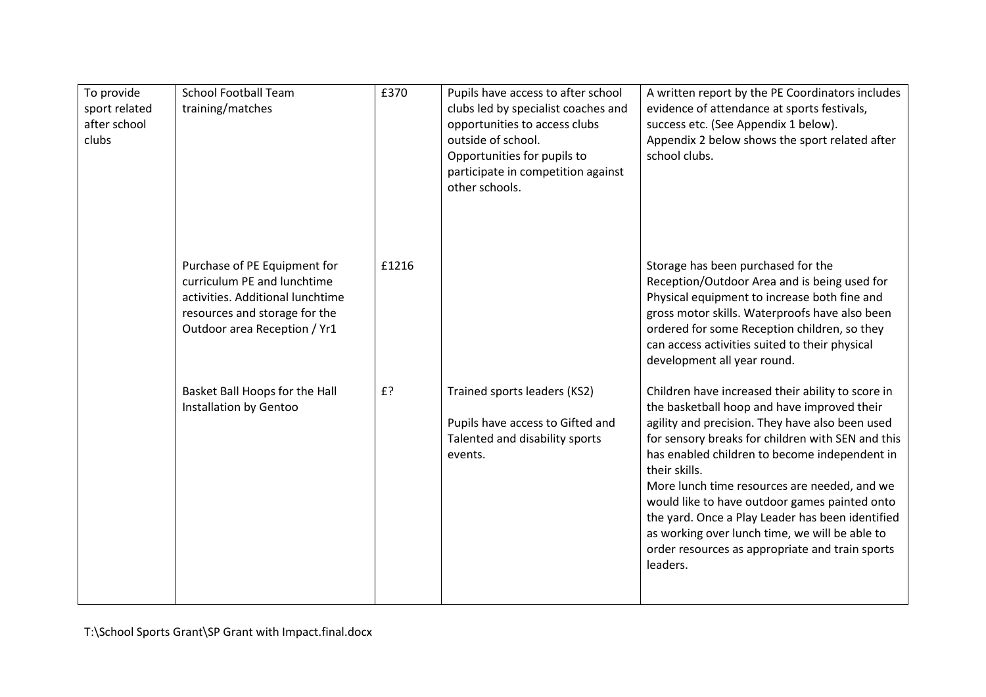| To provide<br>sport related<br>after school<br>clubs | <b>School Football Team</b><br>training/matches                                                                                                                  | £370  | Pupils have access to after school<br>clubs led by specialist coaches and<br>opportunities to access clubs<br>outside of school.<br>Opportunities for pupils to<br>participate in competition against<br>other schools. | A written report by the PE Coordinators includes<br>evidence of attendance at sports festivals,<br>success etc. (See Appendix 1 below).<br>Appendix 2 below shows the sport related after<br>school clubs.                                                                                                                                                                                                                                                                                                                                       |
|------------------------------------------------------|------------------------------------------------------------------------------------------------------------------------------------------------------------------|-------|-------------------------------------------------------------------------------------------------------------------------------------------------------------------------------------------------------------------------|--------------------------------------------------------------------------------------------------------------------------------------------------------------------------------------------------------------------------------------------------------------------------------------------------------------------------------------------------------------------------------------------------------------------------------------------------------------------------------------------------------------------------------------------------|
|                                                      | Purchase of PE Equipment for<br>curriculum PE and lunchtime<br>activities. Additional lunchtime<br>resources and storage for the<br>Outdoor area Reception / Yr1 | £1216 |                                                                                                                                                                                                                         | Storage has been purchased for the<br>Reception/Outdoor Area and is being used for<br>Physical equipment to increase both fine and<br>gross motor skills. Waterproofs have also been<br>ordered for some Reception children, so they<br>can access activities suited to their physical<br>development all year round.                                                                                                                                                                                                                            |
|                                                      | Basket Ball Hoops for the Hall<br>Installation by Gentoo                                                                                                         | £?    | Trained sports leaders (KS2)<br>Pupils have access to Gifted and<br>Talented and disability sports<br>events.                                                                                                           | Children have increased their ability to score in<br>the basketball hoop and have improved their<br>agility and precision. They have also been used<br>for sensory breaks for children with SEN and this<br>has enabled children to become independent in<br>their skills.<br>More lunch time resources are needed, and we<br>would like to have outdoor games painted onto<br>the yard. Once a Play Leader has been identified<br>as working over lunch time, we will be able to<br>order resources as appropriate and train sports<br>leaders. |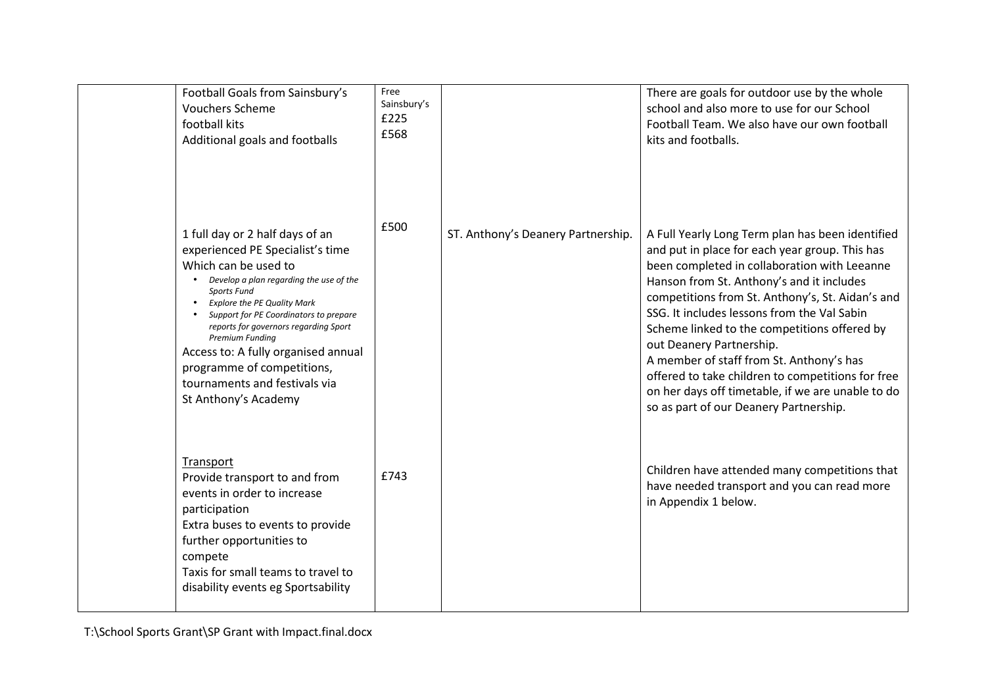| Football Goals from Sainsbury's<br><b>Vouchers Scheme</b><br>football kits<br>Additional goals and footballs                                                                                                                                                                                                                                                                                                                                  | Free<br>Sainsbury's<br>£225<br>£568 |                                    | There are goals for outdoor use by the whole<br>school and also more to use for our School<br>Football Team. We also have our own football<br>kits and footballs.                                                                                                                                                                                                                                                                                                                                                                                                              |
|-----------------------------------------------------------------------------------------------------------------------------------------------------------------------------------------------------------------------------------------------------------------------------------------------------------------------------------------------------------------------------------------------------------------------------------------------|-------------------------------------|------------------------------------|--------------------------------------------------------------------------------------------------------------------------------------------------------------------------------------------------------------------------------------------------------------------------------------------------------------------------------------------------------------------------------------------------------------------------------------------------------------------------------------------------------------------------------------------------------------------------------|
| 1 full day or 2 half days of an<br>experienced PE Specialist's time<br>Which can be used to<br>Develop a plan regarding the use of the<br><b>Sports Fund</b><br><b>Explore the PE Quality Mark</b><br>Support for PE Coordinators to prepare<br>reports for governors regarding Sport<br><b>Premium Funding</b><br>Access to: A fully organised annual<br>programme of competitions,<br>tournaments and festivals via<br>St Anthony's Academy | £500                                | ST. Anthony's Deanery Partnership. | A Full Yearly Long Term plan has been identified<br>and put in place for each year group. This has<br>been completed in collaboration with Leeanne<br>Hanson from St. Anthony's and it includes<br>competitions from St. Anthony's, St. Aidan's and<br>SSG. It includes lessons from the Val Sabin<br>Scheme linked to the competitions offered by<br>out Deanery Partnership.<br>A member of staff from St. Anthony's has<br>offered to take children to competitions for free<br>on her days off timetable, if we are unable to do<br>so as part of our Deanery Partnership. |
| Transport<br>Provide transport to and from<br>events in order to increase<br>participation<br>Extra buses to events to provide<br>further opportunities to<br>compete<br>Taxis for small teams to travel to<br>disability events eg Sportsability                                                                                                                                                                                             | £743                                |                                    | Children have attended many competitions that<br>have needed transport and you can read more<br>in Appendix 1 below.                                                                                                                                                                                                                                                                                                                                                                                                                                                           |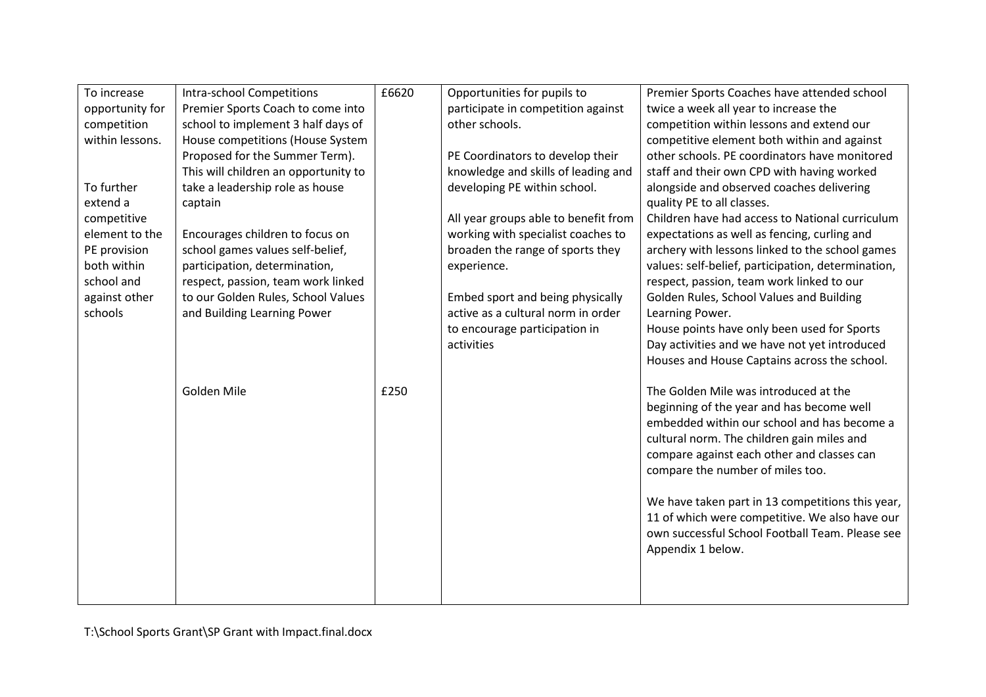| To increase     | <b>Intra-school Competitions</b>     | £6620 | Opportunities for pupils to          | Premier Sports Coaches have attended school        |
|-----------------|--------------------------------------|-------|--------------------------------------|----------------------------------------------------|
| opportunity for | Premier Sports Coach to come into    |       | participate in competition against   | twice a week all year to increase the              |
| competition     | school to implement 3 half days of   |       | other schools.                       | competition within lessons and extend our          |
| within lessons. | House competitions (House System     |       |                                      | competitive element both within and against        |
|                 | Proposed for the Summer Term).       |       | PE Coordinators to develop their     | other schools. PE coordinators have monitored      |
|                 | This will children an opportunity to |       | knowledge and skills of leading and  | staff and their own CPD with having worked         |
| To further      | take a leadership role as house      |       | developing PE within school.         | alongside and observed coaches delivering          |
| extend a        | captain                              |       |                                      | quality PE to all classes.                         |
| competitive     |                                      |       | All year groups able to benefit from | Children have had access to National curriculum    |
| element to the  | Encourages children to focus on      |       | working with specialist coaches to   | expectations as well as fencing, curling and       |
| PE provision    | school games values self-belief,     |       | broaden the range of sports they     | archery with lessons linked to the school games    |
| both within     | participation, determination,        |       | experience.                          | values: self-belief, participation, determination, |
| school and      | respect, passion, team work linked   |       |                                      | respect, passion, team work linked to our          |
| against other   | to our Golden Rules, School Values   |       | Embed sport and being physically     | Golden Rules, School Values and Building           |
| schools         | and Building Learning Power          |       | active as a cultural norm in order   | Learning Power.                                    |
|                 |                                      |       | to encourage participation in        | House points have only been used for Sports        |
|                 |                                      |       | activities                           | Day activities and we have not yet introduced      |
|                 |                                      |       |                                      | Houses and House Captains across the school.       |
|                 |                                      |       |                                      |                                                    |
|                 | Golden Mile                          | £250  |                                      | The Golden Mile was introduced at the              |
|                 |                                      |       |                                      | beginning of the year and has become well          |
|                 |                                      |       |                                      | embedded within our school and has become a        |
|                 |                                      |       |                                      | cultural norm. The children gain miles and         |
|                 |                                      |       |                                      | compare against each other and classes can         |
|                 |                                      |       |                                      | compare the number of miles too.                   |
|                 |                                      |       |                                      |                                                    |
|                 |                                      |       |                                      | We have taken part in 13 competitions this year,   |
|                 |                                      |       |                                      | 11 of which were competitive. We also have our     |
|                 |                                      |       |                                      | own successful School Football Team. Please see    |
|                 |                                      |       |                                      | Appendix 1 below.                                  |
|                 |                                      |       |                                      |                                                    |
|                 |                                      |       |                                      |                                                    |
|                 |                                      |       |                                      |                                                    |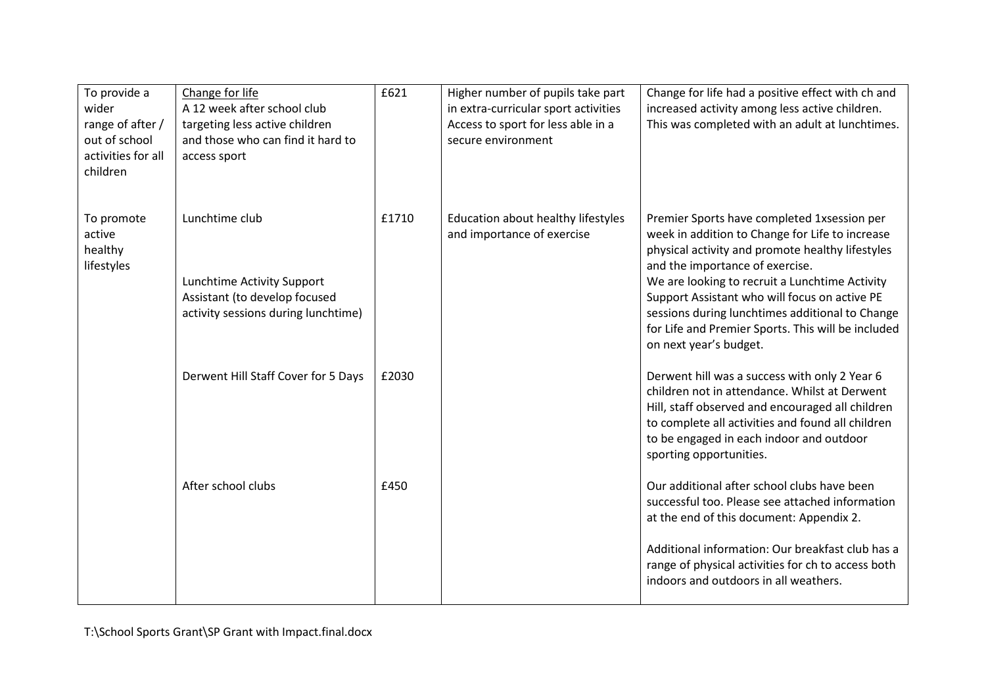| To provide a<br>wider<br>range of after /<br>out of school<br>activities for all<br>children | Change for life<br>A 12 week after school club<br>targeting less active children<br>and those who can find it hard to<br>access sport | £621  | Higher number of pupils take part<br>in extra-curricular sport activities<br>Access to sport for less able in a<br>secure environment | Change for life had a positive effect with ch and<br>increased activity among less active children.<br>This was completed with an adult at lunchtimes.                                                                                                                                                                                                                                                                      |
|----------------------------------------------------------------------------------------------|---------------------------------------------------------------------------------------------------------------------------------------|-------|---------------------------------------------------------------------------------------------------------------------------------------|-----------------------------------------------------------------------------------------------------------------------------------------------------------------------------------------------------------------------------------------------------------------------------------------------------------------------------------------------------------------------------------------------------------------------------|
| To promote<br>active<br>healthy<br>lifestyles                                                | Lunchtime club<br>Lunchtime Activity Support<br>Assistant (to develop focused<br>activity sessions during lunchtime)                  | £1710 | Education about healthy lifestyles<br>and importance of exercise                                                                      | Premier Sports have completed 1xsession per<br>week in addition to Change for Life to increase<br>physical activity and promote healthy lifestyles<br>and the importance of exercise.<br>We are looking to recruit a Lunchtime Activity<br>Support Assistant who will focus on active PE<br>sessions during lunchtimes additional to Change<br>for Life and Premier Sports. This will be included<br>on next year's budget. |
|                                                                                              | Derwent Hill Staff Cover for 5 Days                                                                                                   | £2030 |                                                                                                                                       | Derwent hill was a success with only 2 Year 6<br>children not in attendance. Whilst at Derwent<br>Hill, staff observed and encouraged all children<br>to complete all activities and found all children<br>to be engaged in each indoor and outdoor<br>sporting opportunities.                                                                                                                                              |
|                                                                                              | After school clubs                                                                                                                    | £450  |                                                                                                                                       | Our additional after school clubs have been<br>successful too. Please see attached information<br>at the end of this document: Appendix 2.<br>Additional information: Our breakfast club has a<br>range of physical activities for ch to access both<br>indoors and outdoors in all weathers.                                                                                                                               |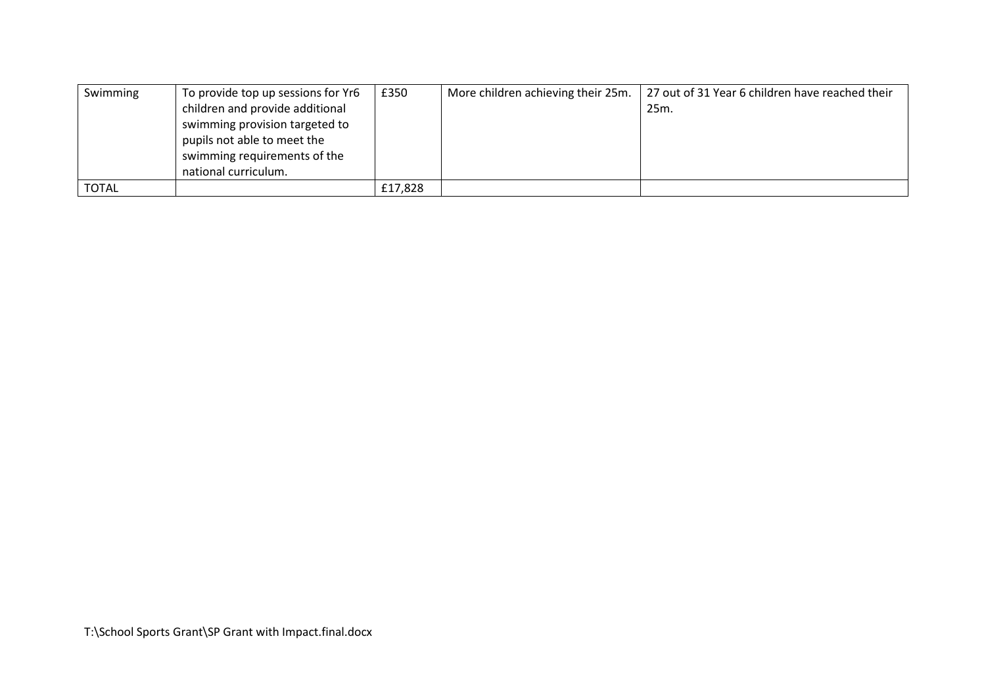| Swimming     | To provide top up sessions for Yr6 | £350    | More children achieving their 25m. | 27 out of 31 Year 6 children have reached their |
|--------------|------------------------------------|---------|------------------------------------|-------------------------------------------------|
|              | children and provide additional    |         |                                    | 25m.                                            |
|              | swimming provision targeted to     |         |                                    |                                                 |
|              | pupils not able to meet the        |         |                                    |                                                 |
|              | swimming requirements of the       |         |                                    |                                                 |
|              | national curriculum.               |         |                                    |                                                 |
| <b>TOTAL</b> |                                    | £17,828 |                                    |                                                 |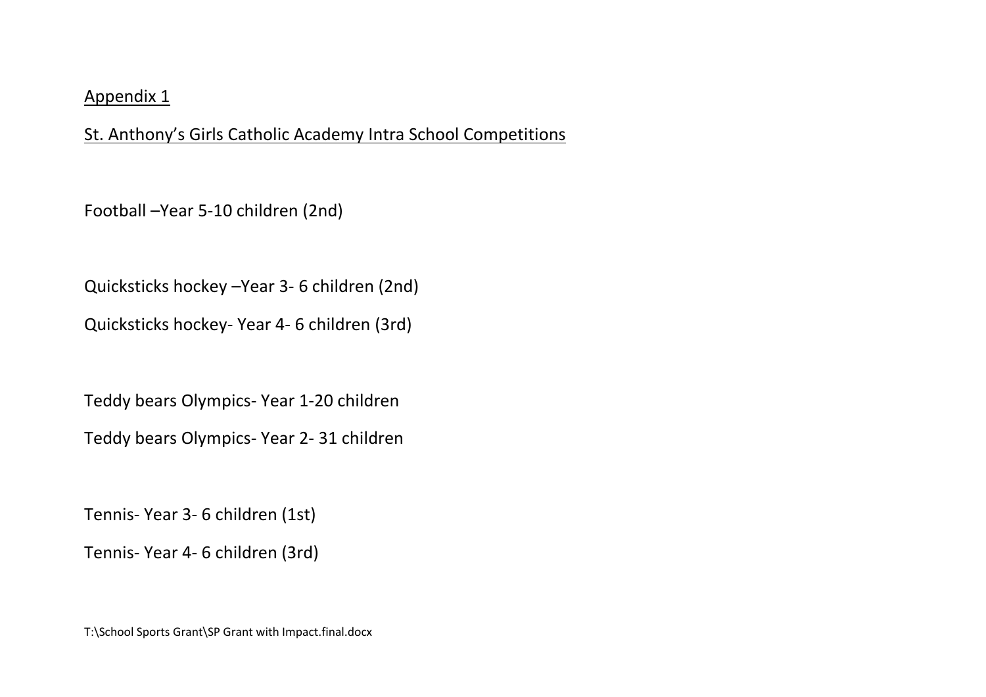## Appendix 1

St. Anthony's Girls Catholic Academy Intra School Competitions

Football –Year 5-10 children (2nd)

Quicksticks hockey –Year 3- 6 children (2nd)

Quicksticks hockey- Year 4- 6 children (3rd)

Teddy bears Olympics- Year 1-20 children

Teddy bears Olympics- Year 2- 31 children

Tennis- Year 3- 6 children (1st)

Tennis- Year 4- 6 children (3rd)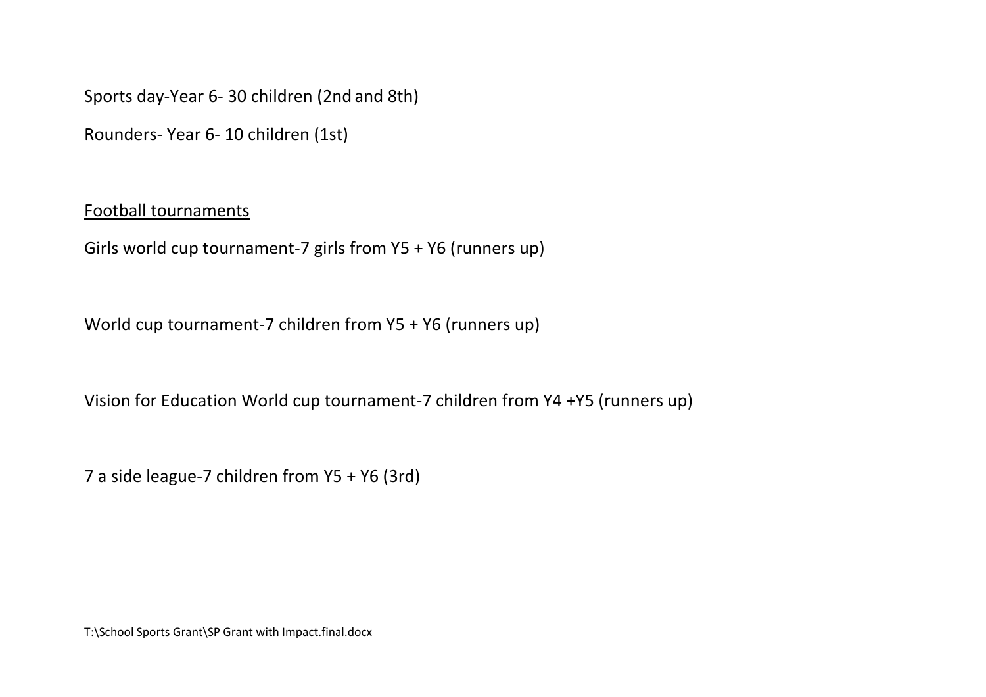Sports day-Year 6- 30 children (2nd and 8th)

Rounders- Year 6- 10 children (1st)

## Football tournaments

Girls world cup tournament-7 girls from Y5 + Y6 (runners up)

World cup tournament-7 children from Y5 + Y6 (runners up)

Vision for Education World cup tournament-7 children from Y4 +Y5 (runners up)

7 a side league-7 children from Y5 + Y6 (3rd)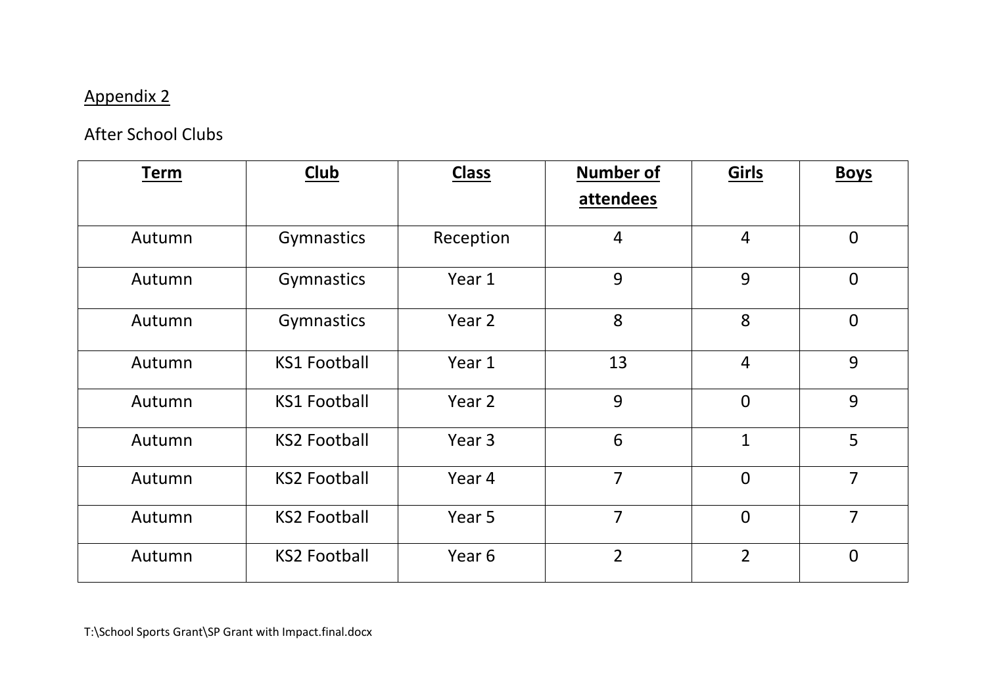## Appendix 2

## After School Clubs

| <b>Term</b> | <b>Club</b>         | <b>Class</b> | <b>Number of</b> | Girls          | <b>Boys</b>    |
|-------------|---------------------|--------------|------------------|----------------|----------------|
|             |                     |              | attendees        |                |                |
| Autumn      | Gymnastics          | Reception    | $\overline{4}$   | $\overline{4}$ | $\mathbf 0$    |
| Autumn      | Gymnastics          | Year 1       | 9                | 9              | $\overline{0}$ |
| Autumn      | Gymnastics          | Year 2       | 8                | 8              | $\overline{0}$ |
| Autumn      | <b>KS1 Football</b> | Year 1       | 13               | $\overline{4}$ | 9              |
| Autumn      | <b>KS1 Football</b> | Year 2       | 9                | $\overline{0}$ | 9              |
| Autumn      | <b>KS2 Football</b> | Year 3       | 6                | $\mathbf{1}$   | 5              |
| Autumn      | <b>KS2 Football</b> | Year 4       | $\overline{7}$   | $\overline{0}$ | $\overline{7}$ |
| Autumn      | <b>KS2 Football</b> | Year 5       | $\overline{7}$   | $\overline{0}$ | $\overline{7}$ |
| Autumn      | <b>KS2 Football</b> | Year 6       | $\overline{2}$   | $\overline{2}$ | $\overline{0}$ |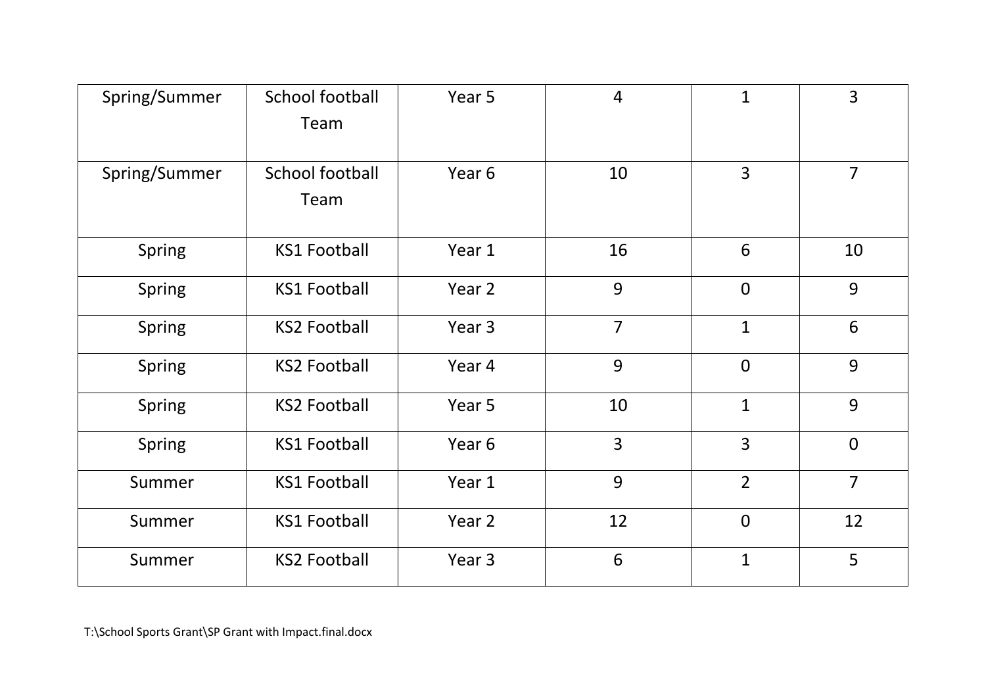| Spring/Summer | School football<br>Team | Year 5 | $\overline{4}$ | $\mathbf{1}$   | $\overline{3}$ |
|---------------|-------------------------|--------|----------------|----------------|----------------|
| Spring/Summer | School football<br>Team | Year 6 | 10             | $\overline{3}$ | $\overline{7}$ |
| <b>Spring</b> | <b>KS1 Football</b>     | Year 1 | 16             | 6              | 10             |
| Spring        | <b>KS1 Football</b>     | Year 2 | 9              | $\overline{0}$ | 9              |
| Spring        | <b>KS2 Football</b>     | Year 3 | $\overline{7}$ | $\mathbf{1}$   | 6              |
| <b>Spring</b> | <b>KS2 Football</b>     | Year 4 | 9              | $\overline{0}$ | 9              |
| <b>Spring</b> | <b>KS2 Football</b>     | Year 5 | 10             | $\mathbf{1}$   | 9              |
| Spring        | <b>KS1 Football</b>     | Year 6 | $\overline{3}$ | $\overline{3}$ | $\overline{0}$ |
| Summer        | <b>KS1 Football</b>     | Year 1 | 9              | $\overline{2}$ | $\overline{7}$ |
| Summer        | <b>KS1 Football</b>     | Year 2 | 12             | $\mathbf 0$    | 12             |
| Summer        | <b>KS2 Football</b>     | Year 3 | 6              | $\mathbf{1}$   | 5              |